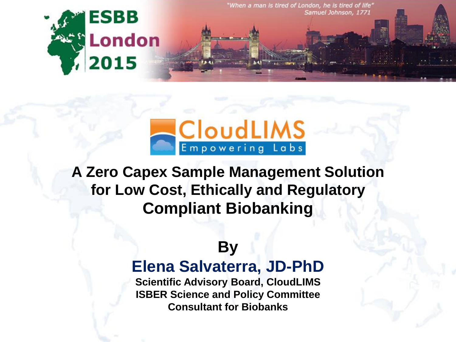



**A Zero Capex Sample Management Solution for Low Cost, Ethically and Regulatory Compliant Biobanking**

#### **By**

#### **Elena Salvaterra, JD-PhD**

**Scientific Advisory Board, CloudLIMS ISBER Science and Policy Committee Consultant for Biobanks**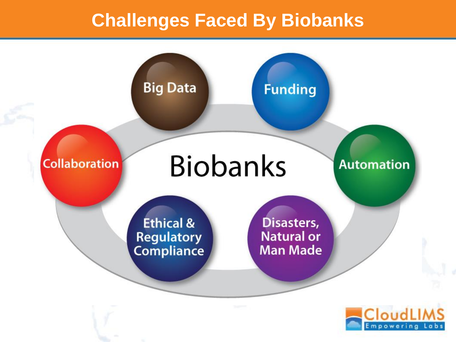#### **Challenges Faced By Biobanks**

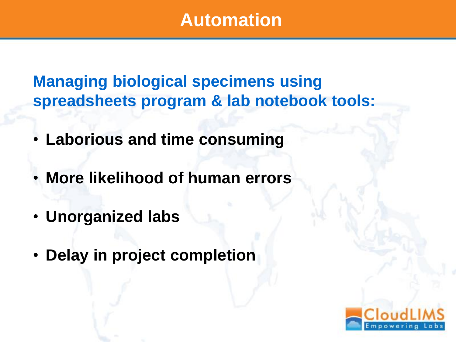#### **Automation**

**Managing biological specimens using spreadsheets program & lab notebook tools:**

- **Laborious and time consuming**
- **More likelihood of human errors**
- **Unorganized labs**
- **Delay in project completion**

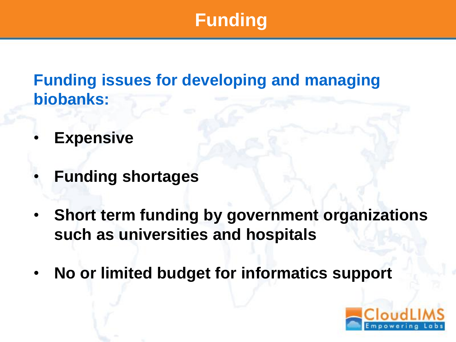# **Funding**

**Funding issues for developing and managing biobanks:**

- **Expensive**
- **Funding shortages**
- **Short term funding by government organizations such as universities and hospitals**
- **No or limited budget for informatics support**

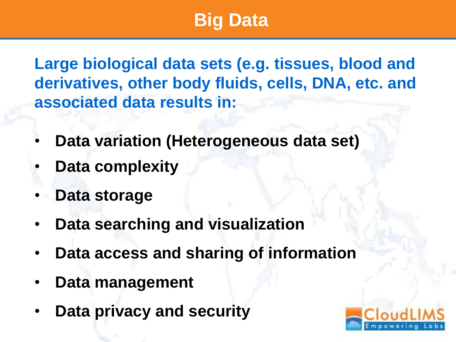# **Big Data**

**Large biological data sets (e.g. tissues, blood and derivatives, other body fluids, cells, DNA, etc. and associated data results in:**

- **Data variation (Heterogeneous data set)**
- **Data complexity**
- **Data storage**
- **Data searching and visualization**
- **Data access and sharing of information**
- **Data management**
- **Data privacy and security**

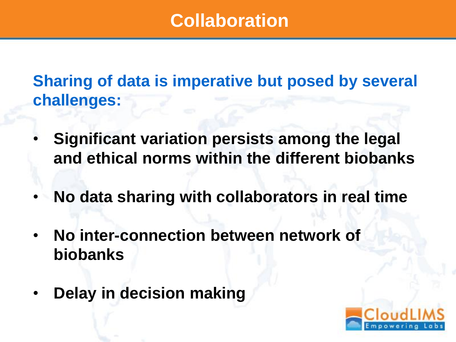## **Collaboration**

**Sharing of data is imperative but posed by several challenges:**

- **Significant variation persists among the legal and ethical norms within the different biobanks**
- **No data sharing with collaborators in real time**
- **No inter-connection between network of biobanks**
- **Delay in decision making**

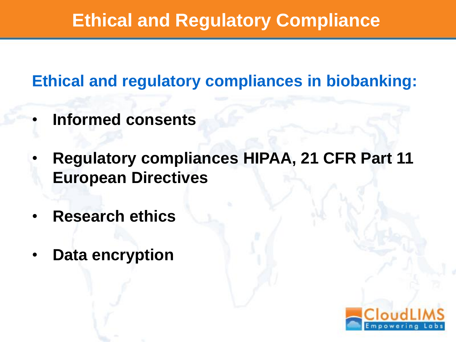# **Ethical and Regulatory Compliance**

**Ethical and regulatory compliances in biobanking:**

- **Informed consents**
- **Regulatory compliances HIPAA, 21 CFR Part 11 European Directives**
- **Research ethics**
- **Data encryption**

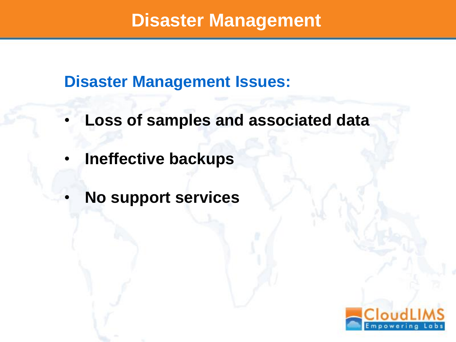#### **Disaster Management**

**Disaster Management Issues:**

- **Loss of samples and associated data**
- **Ineffective backups**
- **No support services**

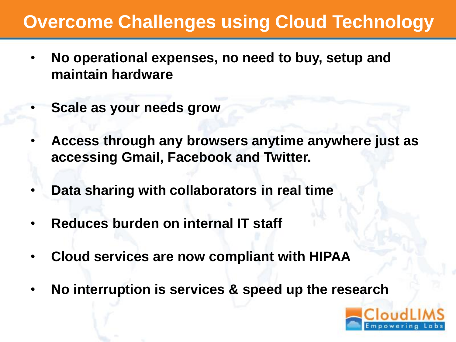## **Overcome Challenges using Cloud Technology**

- **No operational expenses, no need to buy, setup and maintain hardware**
- **Scale as your needs grow**
- **Access through any browsers anytime anywhere just as accessing Gmail, Facebook and Twitter.**
- **Data sharing with collaborators in real time**
- **Reduces burden on internal IT staff**
- **Cloud services are now compliant with HIPAA**
- **No interruption is services & speed up the research**

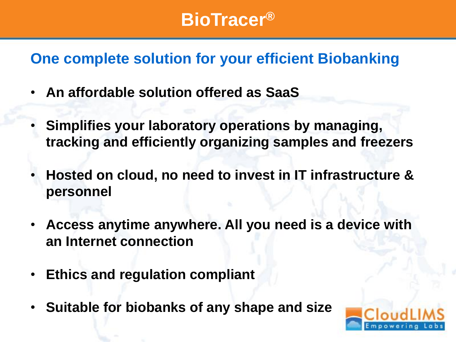## **BioTracer®**

#### **One complete solution for your efficient Biobanking**

- **An affordable solution offered as SaaS**
- **Simplifies your laboratory operations by managing, tracking and efficiently organizing samples and freezers**
- **Hosted on cloud, no need to invest in IT infrastructure & personnel**
- **Access anytime anywhere. All you need is a device with an Internet connection**
- **Ethics and regulation compliant**
- **Suitable for biobanks of any shape and size**

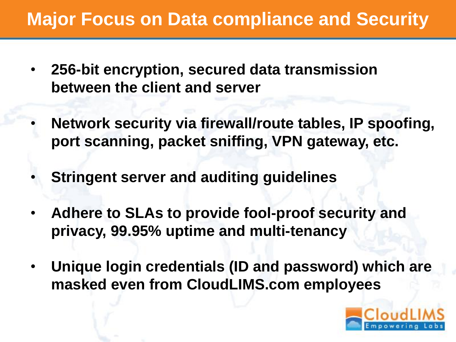# **Major Focus on Data compliance and Security**

- **256-bit encryption, secured data transmission between the client and server**
- **Network security via firewall/route tables, IP spoofing, port scanning, packet sniffing, VPN gateway, etc.**
- **Stringent server and auditing guidelines**
- **Adhere to SLAs to provide fool-proof security and privacy, 99.95% uptime and multi-tenancy**
- **Unique login credentials (ID and password) which are masked even from CloudLIMS.com employees**

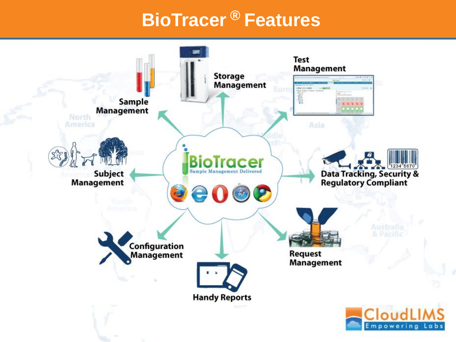# **BioTracer ® Features**